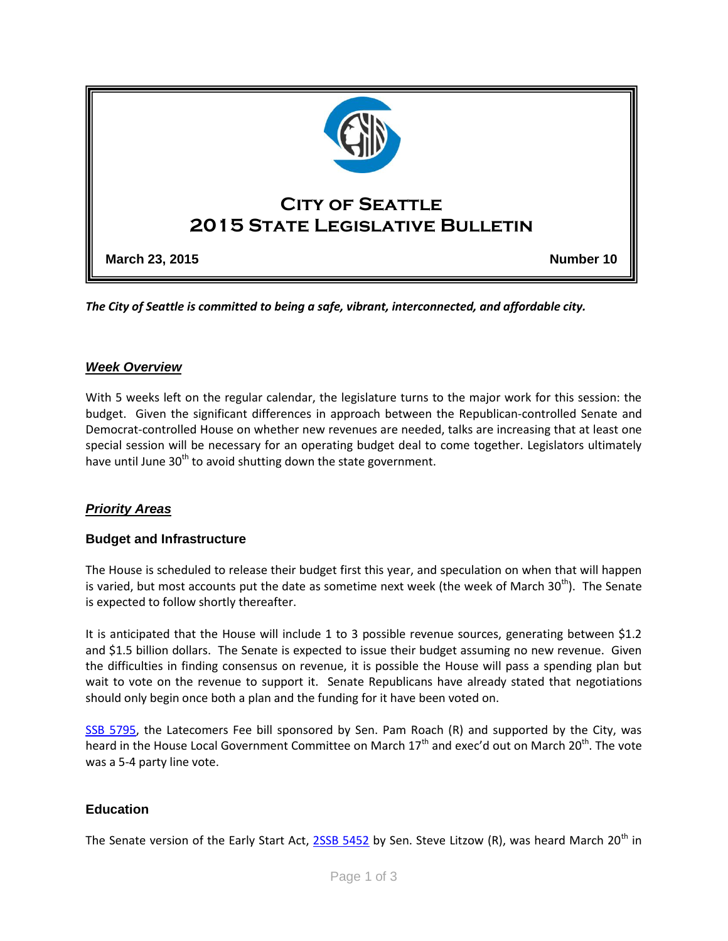

*The City of Seattle is committed to being a safe, vibrant, interconnected, and affordable city.* 

### *Week Overview*

With 5 weeks left on the regular calendar, the legislature turns to the major work for this session: the budget. Given the significant differences in approach between the Republican-controlled Senate and Democrat-controlled House on whether new revenues are needed, talks are increasing that at least one special session will be necessary for an operating budget deal to come together. Legislators ultimately have until June  $30<sup>th</sup>$  to avoid shutting down the state government.

### *Priority Areas*

#### **Budget and Infrastructure**

The House is scheduled to release their budget first this year, and speculation on when that will happen is varied, but most accounts put the date as sometime next week (the week of March 30<sup>th</sup>). The Senate is expected to follow shortly thereafter.

It is anticipated that the House will include 1 to 3 possible revenue sources, generating between \$1.2 and \$1.5 billion dollars. The Senate is expected to issue their budget assuming no new revenue. Given the difficulties in finding consensus on revenue, it is possible the House will pass a spending plan but wait to vote on the revenue to support it. Senate Republicans have already stated that negotiations should only begin once both a plan and the funding for it have been voted on.

[SSB 5795,](http://app.leg.wa.gov/billinfo/summary.aspx?bill=5795&year=2015) the Latecomers Fee bill sponsored by Sen. Pam Roach (R) and supported by the City, was heard in the House Local Government Committee on March 17<sup>th</sup> and exec'd out on March 20<sup>th</sup>. The vote was a 5-4 party line vote.

### **Education**

The Senate version of the Early Start Act, [2SSB 5452](http://app.leg.wa.gov/billinfo/summary.aspx?bill=5452&year=2015) by Sen. Steve Litzow (R), was heard March 20<sup>th</sup> in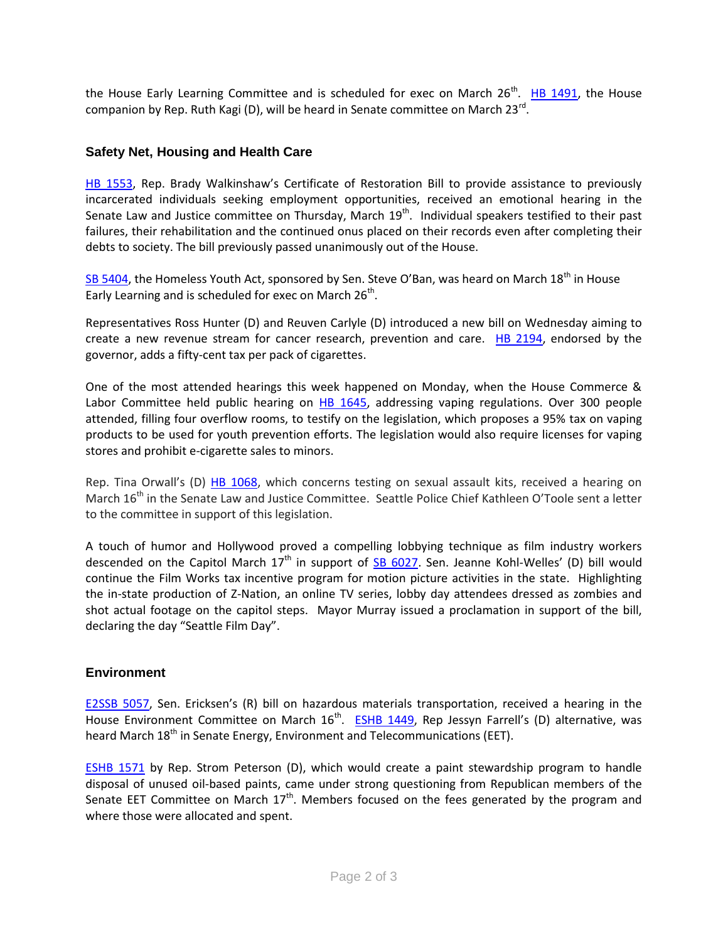the House Early Learning Committee and is scheduled for exec on March 26<sup>th</sup>. [HB 1491,](http://apps.leg.wa.gov/billinfo/summary.aspx?bill=1491&year=2015) the House companion by Rep. Ruth Kagi (D), will be heard in Senate committee on March 23<sup>rd</sup>.

## **Safety Net, Housing and Health Care**

[HB 1553](http://apps.leg.wa.gov/billinfo/summary.aspx?bill=1553&year=2015), Rep. Brady Walkinshaw's Certificate of Restoration Bill to provide assistance to previously incarcerated individuals seeking employment opportunities, received an emotional hearing in the Senate Law and Justice committee on Thursday, March  $19<sup>th</sup>$ . Individual speakers testified to their past failures, their rehabilitation and the continued onus placed on their records even after completing their debts to society. The bill previously passed unanimously out of the House.

[SB 5404](http://apps.leg.wa.gov/billinfo/summary.aspx?bill=5404&year=2015), the Homeless Youth Act, sponsored by Sen. Steve O'Ban, was heard on March 18<sup>th</sup> in House Early Learning and is scheduled for exec on March 26<sup>th</sup>.

Representatives Ross Hunter (D) and Reuven Carlyle (D) introduced a new bill on Wednesday aiming to create a new revenue stream for cancer research, prevention and care. [HB 2194,](http://app.leg.wa.gov/billinfo/summary.aspx?bill=2194&year=2015) endorsed by the governor, adds a fifty-cent tax per pack of cigarettes.

One of the most attended hearings this week happened on Monday, when the House Commerce & Labor Committee held public hearing on  $H\text{B}$  1645, addressing vaping regulations. Over 300 people attended, filling four overflow rooms, to testify on the legislation, which proposes a 95% tax on vaping products to be used for youth prevention efforts. The legislation would also require licenses for vaping stores and prohibit e-cigarette sales to minors.

Rep. Tina Orwall's (D) [HB 1068,](http://apps.leg.wa.gov/billinfo/summary.aspx?bill=1068&year=2015) which concerns testing on sexual assault kits, received a hearing on March 16<sup>th</sup> in the Senate Law and Justice Committee. Seattle Police Chief Kathleen O'Toole sent a letter to the committee in support of this legislation.

A touch of humor and Hollywood proved a compelling lobbying technique as film industry workers descended on the Capitol March  $17<sup>th</sup>$  in support of  $SB$  6027. Sen. Jeanne Kohl-Welles' (D) bill would continue the Film Works tax incentive program for motion picture activities in the state. Highlighting the in-state production of Z-Nation, an online TV series, lobby day attendees dressed as zombies and shot actual footage on the capitol steps. Mayor Murray issued a proclamation in support of the bill, declaring the day "Seattle Film Day".

### **Environment**

[E2SSB 5057,](http://apps.leg.wa.gov/billinfo/summary.aspx?bill=5057&year=2015) Sen. Ericksen's (R) bill on hazardous materials transportation, received a hearing in the House Environment Committee on March 16<sup>th</sup>. [ESHB 1449](http://apps.leg.wa.gov/billinfo/summary.aspx?bill=1449&year=2015), Rep Jessyn Farrell's (D) alternative, was heard March 18<sup>th</sup> in Senate Energy, Environment and Telecommunications (EET).

[ESHB 1571](http://apps.leg.wa.gov/billinfo/summary.aspx?bill=1571&year=2015) by Rep. Strom Peterson (D), which would create a paint stewardship program to handle disposal of unused oil-based paints, came under strong questioning from Republican members of the Senate EET Committee on March  $17<sup>th</sup>$ . Members focused on the fees generated by the program and where those were allocated and spent.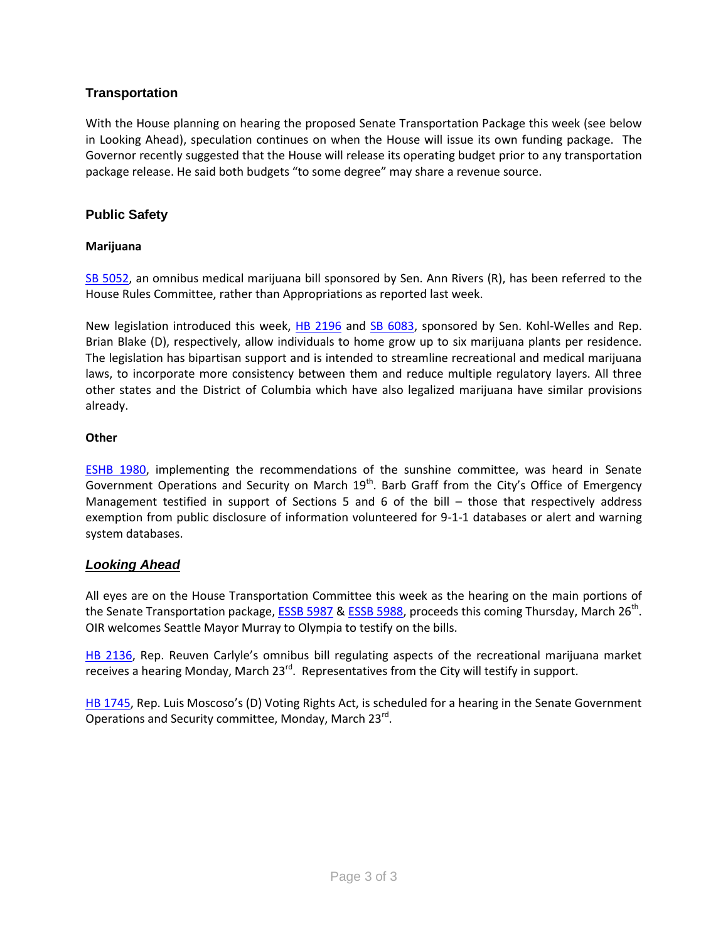# **Transportation**

With the House planning on hearing the proposed Senate Transportation Package this week (see below in Looking Ahead), speculation continues on when the House will issue its own funding package. The Governor recently suggested that the House will release its operating budget prior to any transportation package release. He said both budgets "to some degree" may share a revenue source.

## **Public Safety**

### **Marijuana**

[SB 5052,](http://apps.leg.wa.gov/billinfo/summary.aspx?bill=5052&year=2015) an omnibus medical marijuana bill sponsored by Sen. Ann Rivers (R), has been referred to the House Rules Committee, rather than Appropriations as reported last week.

New legislation introduced this week, [HB 2196](http://apps.leg.wa.gov/billinfo/summary.aspx?bill=2196&year=2015) and [SB 6083,](http://apps.leg.wa.gov/billinfo/summary.aspx?bill=6083&year=2015) sponsored by Sen. Kohl-Welles and Rep. Brian Blake (D), respectively, allow individuals to home grow up to six marijuana plants per residence. The legislation has bipartisan support and is intended to streamline recreational and medical marijuana laws, to incorporate more consistency between them and reduce multiple regulatory layers. All three other states and the District of Columbia which have also legalized marijuana have similar provisions already.

### **Other**

[ESHB 1980,](http://apps.leg.wa.gov/billinfo/summary.aspx?bill=1980&year=2015) implementing the recommendations of the sunshine committee, was heard in Senate Government Operations and Security on March  $19<sup>th</sup>$ . Barb Graff from the City's Office of Emergency Management testified in support of Sections 5 and 6 of the bill – those that respectively address exemption from public disclosure of information volunteered for 9-1-1 databases or alert and warning system databases.

### *Looking Ahead*

All eyes are on the House Transportation Committee this week as the hearing on the main portions of the Senate Transportation package, [ESSB](http://app.leg.wa.gov/billinfo/summary.aspx?year=2015&bill=5987) 5987 & [ESSB 5988,](http://app.leg.wa.gov/billinfo/summary.aspx?bill=5988&year=2015) proceeds this coming Thursday, March 26<sup>th</sup>. OIR welcomes Seattle Mayor Murray to Olympia to testify on the bills.

[HB 2136](http://apps.leg.wa.gov/billinfo/summary.aspx?bill=2136&year=2015), Rep. Reuven Carlyle's omnibus bill regulating aspects of the recreational marijuana market receives a hearing Monday, March 23<sup>rd</sup>. Representatives from the City will testify in support.

[HB 1745](http://apps.leg.wa.gov/billinfo/summary.aspx?bill=1745&year=2015), Rep. Luis Moscoso's (D) Voting Rights Act, is scheduled for a hearing in the Senate Government Operations and Security committee, Monday, March 23<sup>rd</sup>.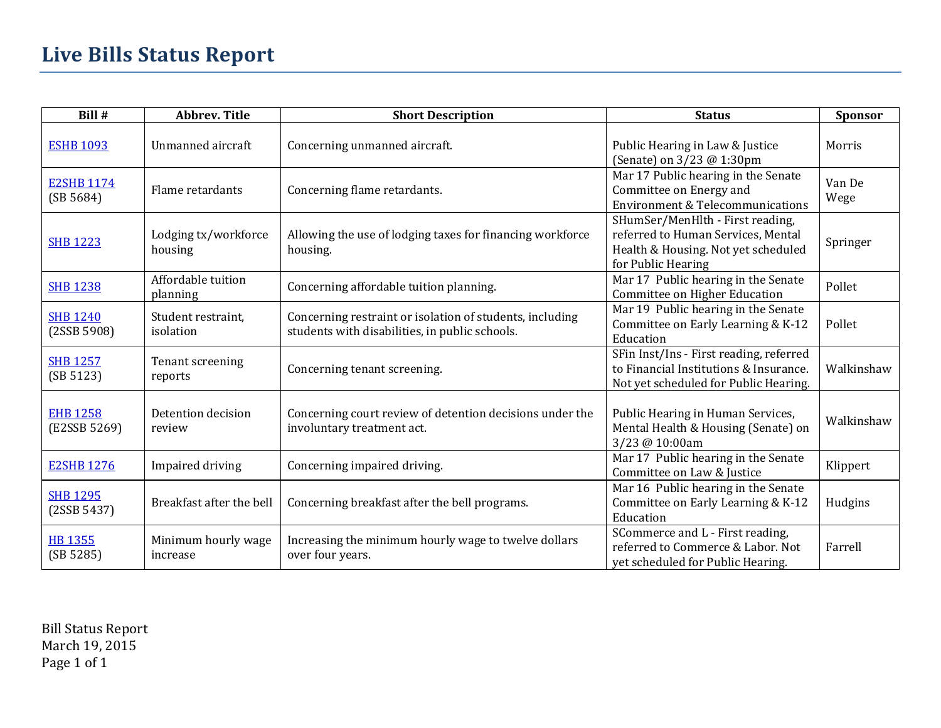| Bill #                          | <b>Abbrev. Title</b>            | <b>Short Description</b>                                                                                   | <b>Status</b>                                                                                                                       | Sponsor        |
|---------------------------------|---------------------------------|------------------------------------------------------------------------------------------------------------|-------------------------------------------------------------------------------------------------------------------------------------|----------------|
| <b>ESHB 1093</b>                | Unmanned aircraft               | Concerning unmanned aircraft.                                                                              | Public Hearing in Law & Justice<br>(Senate) on 3/23 @ 1:30pm                                                                        | Morris         |
| <b>E2SHB 1174</b><br>(SB 5684)  | Flame retardants                | Concerning flame retardants.                                                                               | Mar 17 Public hearing in the Senate<br>Committee on Energy and<br><b>Environment &amp; Telecommunications</b>                       | Van De<br>Wege |
| <b>SHB 1223</b>                 | Lodging tx/workforce<br>housing | Allowing the use of lodging taxes for financing workforce<br>housing.                                      | SHumSer/MenHlth - First reading,<br>referred to Human Services, Mental<br>Health & Housing. Not yet scheduled<br>for Public Hearing | Springer       |
| <b>SHB 1238</b>                 | Affordable tuition<br>planning  | Concerning affordable tuition planning.                                                                    | Mar 17 Public hearing in the Senate<br>Committee on Higher Education                                                                | Pollet         |
| <b>SHB 1240</b><br>(2SSB 5908)  | Student restraint,<br>isolation | Concerning restraint or isolation of students, including<br>students with disabilities, in public schools. | Mar 19 Public hearing in the Senate<br>Committee on Early Learning & K-12<br>Education                                              | Pollet         |
| <b>SHB 1257</b><br>(SB 5123)    | Tenant screening<br>reports     | Concerning tenant screening.                                                                               | SFin Inst/Ins - First reading, referred<br>to Financial Institutions & Insurance.<br>Not yet scheduled for Public Hearing.          | Walkinshaw     |
| <b>EHB 1258</b><br>(E2SSB 5269) | Detention decision<br>review    | Concerning court review of detention decisions under the<br>involuntary treatment act.                     | Public Hearing in Human Services,<br>Mental Health & Housing (Senate) on<br>3/23 @ 10:00am                                          | Walkinshaw     |
| <b>E2SHB 1276</b>               | Impaired driving                | Concerning impaired driving.                                                                               | Mar 17 Public hearing in the Senate<br>Committee on Law & Justice                                                                   | Klippert       |
| <b>SHB 1295</b><br>(2SSB 5437)  | Breakfast after the bell        | Concerning breakfast after the bell programs.                                                              | Mar 16 Public hearing in the Senate<br>Committee on Early Learning & K-12<br>Education                                              | Hudgins        |
| <b>HB 1355</b><br>(SB 5285)     | Minimum hourly wage<br>increase | Increasing the minimum hourly wage to twelve dollars<br>over four years.                                   | SCommerce and L - First reading,<br>referred to Commerce & Labor. Not<br>yet scheduled for Public Hearing.                          | Farrell        |

Bill Status Report March 19, 2015 Page 1 of 1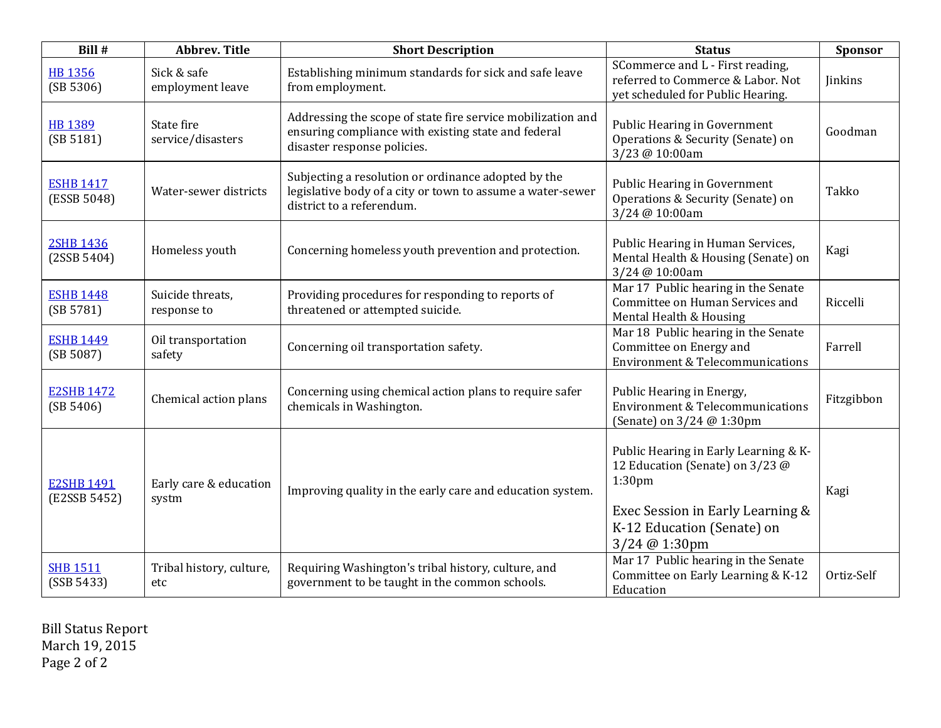| Bill #                            | <b>Abbrev. Title</b>            | <b>Short Description</b>                                                                                                                          | <b>Status</b>                                                                                                                                                                     | Sponsor    |
|-----------------------------------|---------------------------------|---------------------------------------------------------------------------------------------------------------------------------------------------|-----------------------------------------------------------------------------------------------------------------------------------------------------------------------------------|------------|
| <b>HB 1356</b><br>(SB 5306)       | Sick & safe<br>employment leave | Establishing minimum standards for sick and safe leave<br>from employment.                                                                        | SCommerce and L - First reading,<br>referred to Commerce & Labor. Not<br>yet scheduled for Public Hearing.                                                                        | Jinkins    |
| HB 1389<br>(SB 5181)              | State fire<br>service/disasters | Addressing the scope of state fire service mobilization and<br>ensuring compliance with existing state and federal<br>disaster response policies. | Public Hearing in Government<br>Operations & Security (Senate) on<br>3/23 @ 10:00am                                                                                               | Goodman    |
| <b>ESHB 1417</b><br>(ESSB 5048)   | Water-sewer districts           | Subjecting a resolution or ordinance adopted by the<br>legislative body of a city or town to assume a water-sewer<br>district to a referendum.    | Public Hearing in Government<br>Operations & Security (Senate) on<br>3/24 @ 10:00am                                                                                               | Takko      |
| <b>2SHB 1436</b><br>(2SSB 5404)   | Homeless youth                  | Concerning homeless youth prevention and protection.                                                                                              | Public Hearing in Human Services,<br>Mental Health & Housing (Senate) on<br>3/24 @ 10:00am                                                                                        | Kagi       |
| <b>ESHB 1448</b><br>(SB 5781)     | Suicide threats,<br>response to | Providing procedures for responding to reports of<br>threatened or attempted suicide.                                                             | Mar 17 Public hearing in the Senate<br>Committee on Human Services and<br>Mental Health & Housing                                                                                 | Riccelli   |
| <b>ESHB 1449</b><br>(SB 5087)     | Oil transportation<br>safety    | Concerning oil transportation safety.                                                                                                             | Mar 18 Public hearing in the Senate<br>Committee on Energy and<br><b>Environment &amp; Telecommunications</b>                                                                     | Farrell    |
| <b>E2SHB 1472</b><br>(SB 5406)    | Chemical action plans           | Concerning using chemical action plans to require safer<br>chemicals in Washington.                                                               | Public Hearing in Energy,<br><b>Environment &amp; Telecommunications</b><br>(Senate) on 3/24 @ 1:30pm                                                                             | Fitzgibbon |
| <b>E2SHB 1491</b><br>(E2SSB 5452) | Early care & education<br>systm | Improving quality in the early care and education system.                                                                                         | Public Hearing in Early Learning & K-<br>12 Education (Senate) on 3/23 @<br>1:30 <sub>pm</sub><br>Exec Session in Early Learning &<br>K-12 Education (Senate) on<br>3/24 @ 1:30pm | Kagi       |
| <b>SHB 1511</b><br>(SSB 5433)     | Tribal history, culture,<br>etc | Requiring Washington's tribal history, culture, and<br>government to be taught in the common schools.                                             | Mar 17 Public hearing in the Senate<br>Committee on Early Learning & K-12<br>Education                                                                                            | Ortiz-Self |

Bill Status Report March 19, 2015 Page 2 of 2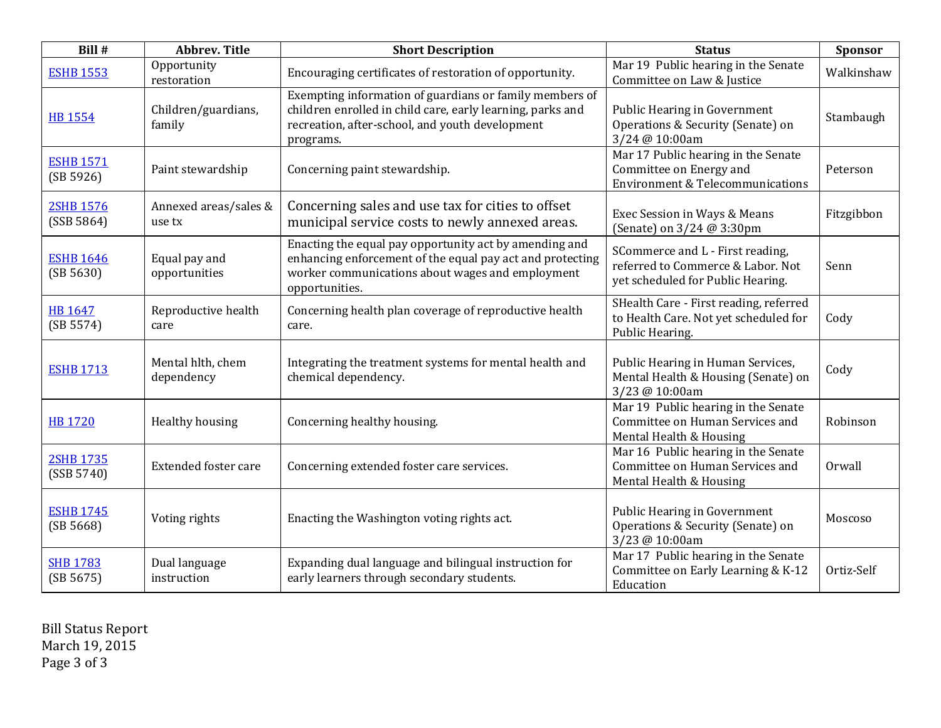| Bill #                         | <b>Abbrev. Title</b>            | <b>Short Description</b>                                                                                                                                                                  | <b>Status</b>                                                                                                 | Sponsor       |
|--------------------------------|---------------------------------|-------------------------------------------------------------------------------------------------------------------------------------------------------------------------------------------|---------------------------------------------------------------------------------------------------------------|---------------|
| <b>ESHB 1553</b>               | Opportunity<br>restoration      | Encouraging certificates of restoration of opportunity.                                                                                                                                   | Mar 19 Public hearing in the Senate<br>Committee on Law & Justice                                             | Walkinshaw    |
| <b>HB 1554</b>                 | Children/guardians,<br>family   | Exempting information of guardians or family members of<br>children enrolled in child care, early learning, parks and<br>recreation, after-school, and youth development<br>programs.     | Public Hearing in Government<br>Operations & Security (Senate) on<br>3/24 @ 10:00am                           | Stambaugh     |
| <b>ESHB 1571</b><br>(SB 5926)  | Paint stewardship               | Concerning paint stewardship.                                                                                                                                                             | Mar 17 Public hearing in the Senate<br>Committee on Energy and<br><b>Environment &amp; Telecommunications</b> | Peterson      |
| <b>2SHB 1576</b><br>(SSB 5864) | Annexed areas/sales &<br>use tx | Concerning sales and use tax for cities to offset<br>municipal service costs to newly annexed areas.                                                                                      | Exec Session in Ways & Means<br>(Senate) on 3/24 @ 3:30pm                                                     | Fitzgibbon    |
| <b>ESHB 1646</b><br>(SB 5630)  | Equal pay and<br>opportunities  | Enacting the equal pay opportunity act by amending and<br>enhancing enforcement of the equal pay act and protecting<br>worker communications about wages and employment<br>opportunities. | SCommerce and L - First reading,<br>referred to Commerce & Labor. Not<br>yet scheduled for Public Hearing.    | Senn          |
| HB 1647<br>(SB 5574)           | Reproductive health<br>care     | Concerning health plan coverage of reproductive health<br>care.                                                                                                                           | SHealth Care - First reading, referred<br>to Health Care. Not yet scheduled for<br>Public Hearing.            | Cody          |
| <b>ESHB 1713</b>               | Mental hlth, chem<br>dependency | Integrating the treatment systems for mental health and<br>chemical dependency.                                                                                                           | Public Hearing in Human Services,<br>Mental Health & Housing (Senate) on<br>3/23 @ 10:00am                    | Cody          |
| <b>HB 1720</b>                 | Healthy housing                 | Concerning healthy housing.                                                                                                                                                               | Mar 19 Public hearing in the Senate<br>Committee on Human Services and<br>Mental Health & Housing             | Robinson      |
| <b>2SHB 1735</b><br>(SSB 5740) | <b>Extended foster care</b>     | Concerning extended foster care services.                                                                                                                                                 | Mar 16 Public hearing in the Senate<br>Committee on Human Services and<br>Mental Health & Housing             | <b>Orwall</b> |
| <b>ESHB 1745</b><br>(SB 5668)  | Voting rights                   | Enacting the Washington voting rights act.                                                                                                                                                | Public Hearing in Government<br>Operations & Security (Senate) on<br>3/23 @ 10:00am                           | Moscoso       |
| <b>SHB 1783</b><br>(SB 5675)   | Dual language<br>instruction    | Expanding dual language and bilingual instruction for<br>early learners through secondary students.                                                                                       | Mar 17 Public hearing in the Senate<br>Committee on Early Learning & K-12<br>Education                        | Ortiz-Self    |

Bill Status Report March 19, 2015 Page 3 of 3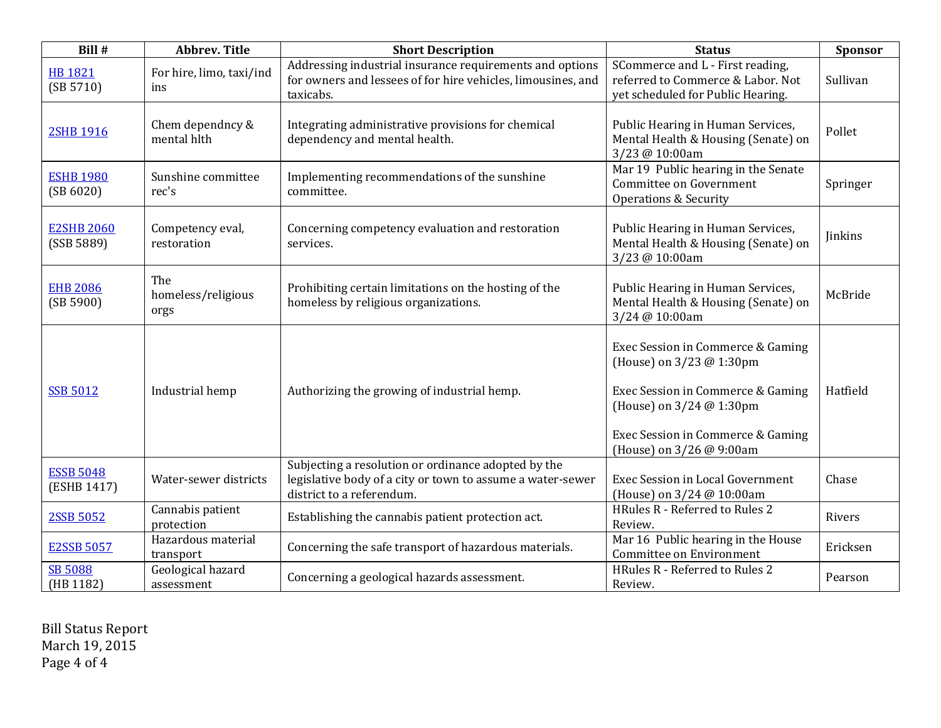| Bill #                          | <b>Abbrev. Title</b>              | <b>Short Description</b>                                                                                                                       | <b>Status</b>                                                                                                                                                                                   | Sponsor        |
|---------------------------------|-----------------------------------|------------------------------------------------------------------------------------------------------------------------------------------------|-------------------------------------------------------------------------------------------------------------------------------------------------------------------------------------------------|----------------|
| <b>HB 1821</b><br>(SB 5710)     | For hire, limo, taxi/ind<br>ins   | Addressing industrial insurance requirements and options<br>for owners and lessees of for hire vehicles, limousines, and<br>taxicabs.          | SCommerce and L - First reading,<br>referred to Commerce & Labor. Not<br>yet scheduled for Public Hearing.                                                                                      | Sullivan       |
| <b>2SHB 1916</b>                | Chem dependncy &<br>mental hlth   | Integrating administrative provisions for chemical<br>dependency and mental health.                                                            | Public Hearing in Human Services,<br>Mental Health & Housing (Senate) on<br>3/23 @ 10:00am                                                                                                      | Pollet         |
| <b>ESHB 1980</b><br>(SB 6020)   | Sunshine committee<br>rec's       | Implementing recommendations of the sunshine<br>committee.                                                                                     | Mar 19 Public hearing in the Senate<br>Committee on Government<br>Operations & Security                                                                                                         | Springer       |
| <b>E2SHB 2060</b><br>(SSB 5889) | Competency eval,<br>restoration   | Concerning competency evaluation and restoration<br>services.                                                                                  | Public Hearing in Human Services,<br>Mental Health & Housing (Senate) on<br>3/23 @ 10:00am                                                                                                      | <b>Jinkins</b> |
| <b>EHB 2086</b><br>(SB 5900)    | The<br>homeless/religious<br>orgs | Prohibiting certain limitations on the hosting of the<br>homeless by religious organizations.                                                  | Public Hearing in Human Services,<br>Mental Health & Housing (Senate) on<br>3/24 @ 10:00am                                                                                                      | McBride        |
| <b>SSB 5012</b>                 | Industrial hemp                   | Authorizing the growing of industrial hemp.                                                                                                    | Exec Session in Commerce & Gaming<br>(House) on 3/23 @ 1:30pm<br>Exec Session in Commerce & Gaming<br>(House) on 3/24 @ 1:30pm<br>Exec Session in Commerce & Gaming<br>(House) on 3/26 @ 9:00am | Hatfield       |
| <b>ESSB 5048</b><br>(ESHB 1417) | Water-sewer districts             | Subjecting a resolution or ordinance adopted by the<br>legislative body of a city or town to assume a water-sewer<br>district to a referendum. | Exec Session in Local Government<br>(House) on 3/24 @ 10:00am                                                                                                                                   | Chase          |
| 2SSB 5052                       | Cannabis patient<br>protection    | Establishing the cannabis patient protection act.                                                                                              | HRules R - Referred to Rules 2<br>Review.                                                                                                                                                       | Rivers         |
| <b>E2SSB 5057</b>               | Hazardous material<br>transport   | Concerning the safe transport of hazardous materials.                                                                                          | Mar 16 Public hearing in the House<br>Committee on Environment                                                                                                                                  | Ericksen       |
| <b>SB 5088</b><br>(HB 1182)     | Geological hazard<br>assessment   | Concerning a geological hazards assessment.                                                                                                    | HRules R - Referred to Rules 2<br>Review.                                                                                                                                                       | Pearson        |

Bill Status Report March 19, 2015 Page 4 of 4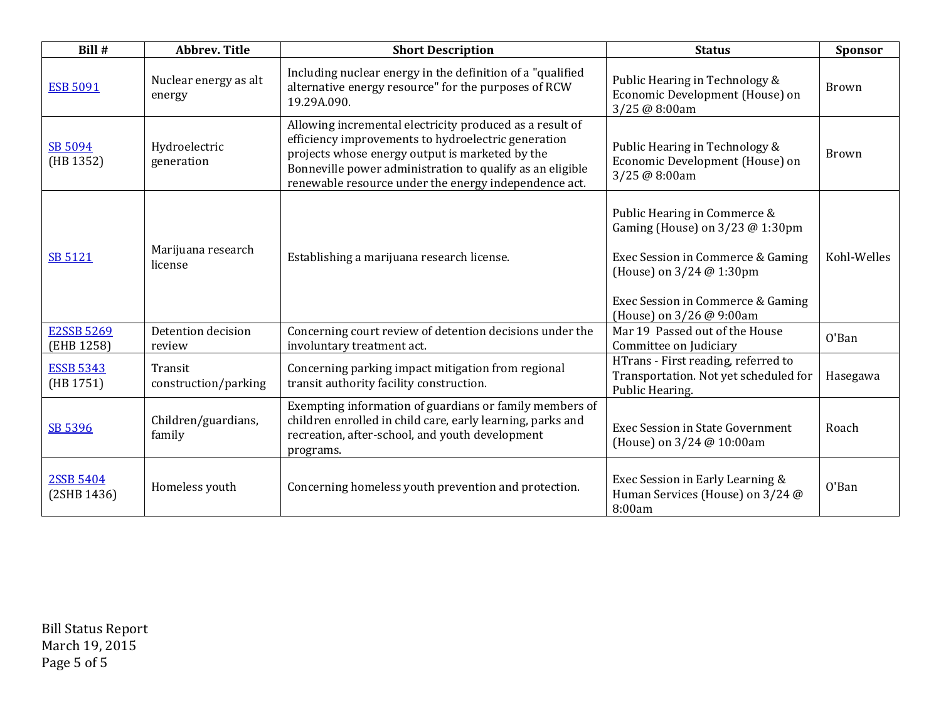| Bill #                          | Abbrev. Title                   | <b>Short Description</b>                                                                                                                                                                                                                                                                 | <b>Status</b>                                                                                                                                                                                       | Sponsor      |
|---------------------------------|---------------------------------|------------------------------------------------------------------------------------------------------------------------------------------------------------------------------------------------------------------------------------------------------------------------------------------|-----------------------------------------------------------------------------------------------------------------------------------------------------------------------------------------------------|--------------|
| <b>ESB 5091</b>                 | Nuclear energy as alt<br>energy | Including nuclear energy in the definition of a "qualified<br>alternative energy resource" for the purposes of RCW<br>19.29A.090.                                                                                                                                                        | Public Hearing in Technology &<br>Economic Development (House) on<br>3/25 @ 8:00am                                                                                                                  | Brown        |
| SB 5094<br>(HB 1352)            | Hydroelectric<br>generation     | Allowing incremental electricity produced as a result of<br>efficiency improvements to hydroelectric generation<br>projects whose energy output is marketed by the<br>Bonneville power administration to qualify as an eligible<br>renewable resource under the energy independence act. | Public Hearing in Technology &<br>Economic Development (House) on<br>3/25 @ 8:00am                                                                                                                  | <b>Brown</b> |
| <b>SB 5121</b>                  | Marijuana research<br>license   | Establishing a marijuana research license.                                                                                                                                                                                                                                               | Public Hearing in Commerce &<br>Gaming (House) on $3/23$ @ 1:30pm<br>Exec Session in Commerce & Gaming<br>(House) on 3/24 @ 1:30pm<br>Exec Session in Commerce & Gaming<br>(House) on 3/26 @ 9:00am | Kohl-Welles  |
| <b>E2SSB 5269</b><br>(EHB 1258) | Detention decision<br>review    | Concerning court review of detention decisions under the<br>involuntary treatment act.                                                                                                                                                                                                   | Mar 19 Passed out of the House<br>Committee on Judiciary                                                                                                                                            | O'Ban        |
| <b>ESSB 5343</b><br>(HB 1751)   | Transit<br>construction/parking | Concerning parking impact mitigation from regional<br>transit authority facility construction.                                                                                                                                                                                           | HTrans - First reading, referred to<br>Transportation. Not yet scheduled for<br>Public Hearing.                                                                                                     | Hasegawa     |
| SB 5396                         | Children/guardians,<br>family   | Exempting information of guardians or family members of<br>children enrolled in child care, early learning, parks and<br>recreation, after-school, and youth development<br>programs.                                                                                                    | <b>Exec Session in State Government</b><br>(House) on 3/24 @ 10:00am                                                                                                                                | Roach        |
| <b>2SSB 5404</b><br>(2SHB 1436) | Homeless youth                  | Concerning homeless youth prevention and protection.                                                                                                                                                                                                                                     | Exec Session in Early Learning &<br>Human Services (House) on 3/24 @<br>8:00am                                                                                                                      | O'Ban        |

Bill Status Report March 19, 2015 Page 5 of 5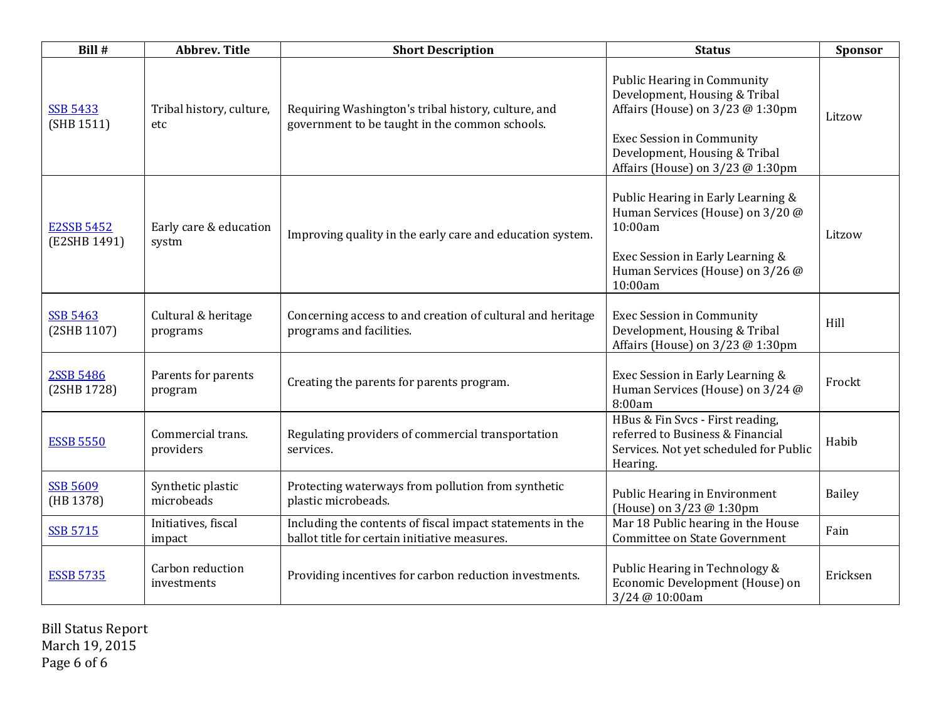| Bill #                            | <b>Abbrev. Title</b>            | <b>Short Description</b>                                                                                   | <b>Status</b>                                                                                                                                                                                                    | Sponsor  |
|-----------------------------------|---------------------------------|------------------------------------------------------------------------------------------------------------|------------------------------------------------------------------------------------------------------------------------------------------------------------------------------------------------------------------|----------|
| <b>SSB 5433</b><br>(SHB 1511)     | Tribal history, culture,<br>etc | Requiring Washington's tribal history, culture, and<br>government to be taught in the common schools.      | <b>Public Hearing in Community</b><br>Development, Housing & Tribal<br>Affairs (House) on 3/23 @ 1:30pm<br><b>Exec Session in Community</b><br>Development, Housing & Tribal<br>Affairs (House) on 3/23 @ 1:30pm | Litzow   |
| <b>E2SSB 5452</b><br>(E2SHB 1491) | Early care & education<br>systm | Improving quality in the early care and education system.                                                  | Public Hearing in Early Learning &<br>Human Services (House) on 3/20 @<br>10:00am<br>Exec Session in Early Learning &<br>Human Services (House) on 3/26 @<br>10:00am                                             | Litzow   |
| <b>SSB 5463</b><br>(2SHB 1107)    | Cultural & heritage<br>programs | Concerning access to and creation of cultural and heritage<br>programs and facilities.                     | <b>Exec Session in Community</b><br>Development, Housing & Tribal<br>Affairs (House) on 3/23 @ 1:30pm                                                                                                            | Hill     |
| <b>2SSB 5486</b><br>(2SHB 1728)   | Parents for parents<br>program  | Creating the parents for parents program.                                                                  | Exec Session in Early Learning &<br>Human Services (House) on 3/24 @<br>8:00am                                                                                                                                   | Frockt   |
| <b>ESSB 5550</b>                  | Commercial trans.<br>providers  | Regulating providers of commercial transportation<br>services.                                             | HBus & Fin Svcs - First reading,<br>referred to Business & Financial<br>Services. Not yet scheduled for Public<br>Hearing.                                                                                       | Habib    |
| <b>SSB 5609</b><br>(HB 1378)      | Synthetic plastic<br>microbeads | Protecting waterways from pollution from synthetic<br>plastic microbeads.                                  | Public Hearing in Environment<br>(House) on 3/23 @ 1:30pm                                                                                                                                                        | Bailey   |
| <b>SSB 5715</b>                   | Initiatives, fiscal<br>impact   | Including the contents of fiscal impact statements in the<br>ballot title for certain initiative measures. | Mar 18 Public hearing in the House<br><b>Committee on State Government</b>                                                                                                                                       | Fain     |
| <b>ESSB 5735</b>                  | Carbon reduction<br>investments | Providing incentives for carbon reduction investments.                                                     | Public Hearing in Technology &<br>Economic Development (House) on<br>3/24 @ 10:00am                                                                                                                              | Ericksen |

Bill Status Report March 19, 2015 Page 6 of 6